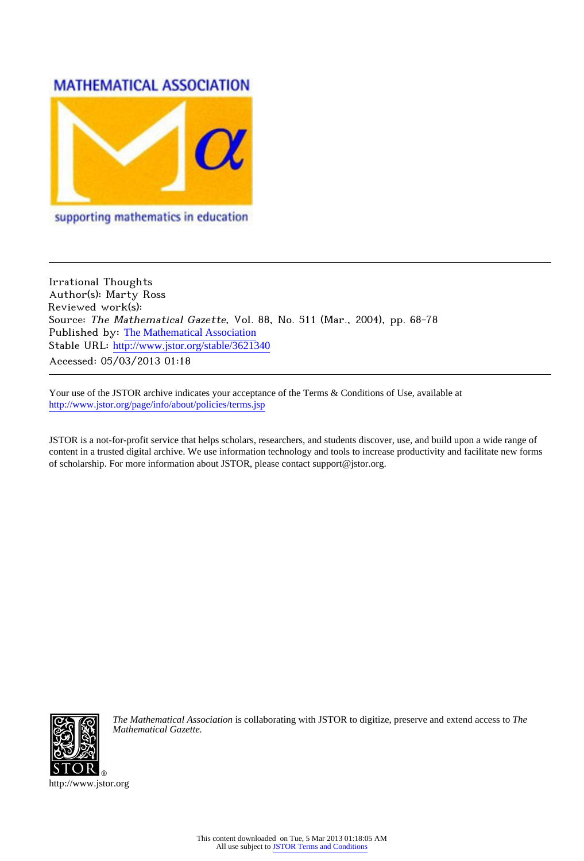# **MATHEMATICAL ASSOCIATION**



supporting mathematics in education

Irrational Thoughts Author(s): Marty Ross Reviewed work(s): Source: The Mathematical Gazette, Vol. 88, No. 511 (Mar., 2004), pp. 68-78 Published by: [The Mathematical Association](http://www.jstor.org/action/showPublisher?publisherCode=mathas) Stable URL: [http://www.jstor.org/stable/3621340](http://www.jstor.org/stable/3621340?origin=JSTOR-pdf) Accessed: 05/03/2013 01:18

Your use of the JSTOR archive indicates your acceptance of the Terms & Conditions of Use, available at <http://www.jstor.org/page/info/about/policies/terms.jsp>

JSTOR is a not-for-profit service that helps scholars, researchers, and students discover, use, and build upon a wide range of content in a trusted digital archive. We use information technology and tools to increase productivity and facilitate new forms of scholarship. For more information about JSTOR, please contact support@jstor.org.



*The Mathematical Association* is collaborating with JSTOR to digitize, preserve and extend access to *The Mathematical Gazette.*

http://www.jstor.org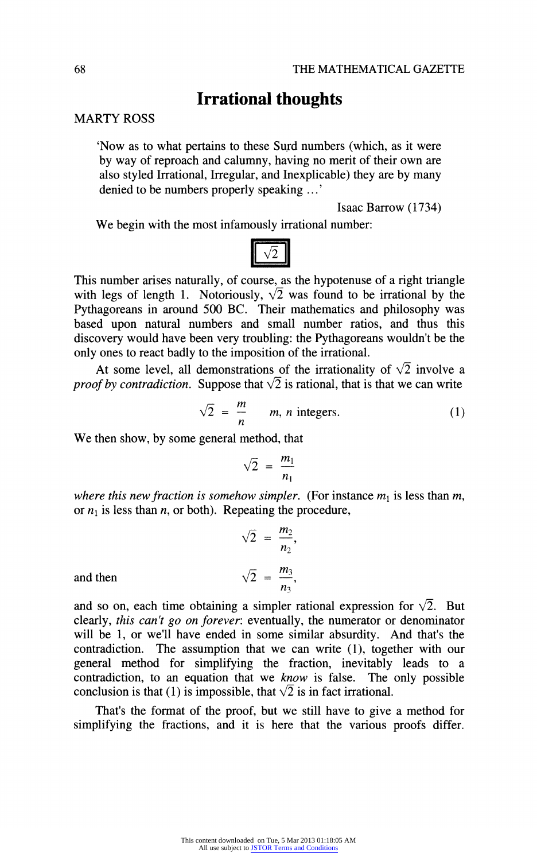# **Irrational thoughts**

# **MARTY ROSS**

**'Now as to what pertains to these Surd numbers (which, as it were by way of reproach and calumny, having no merit of their own are also styled Irrational, Irregular, and Inexplicable) they are by many denied to be numbers properly speaking ...'** 

**Isaac Barrow (1734)** 

**We begin with the most infamously irrational number:** 



**This number arises naturally, of course, as the hypotenuse of a right triangle**  with legs of length 1. Notoriously,  $\sqrt{2}$  was found to be irrational by the **Pythagoreans in around 500 BC. Their mathematics and philosophy was based upon natural numbers and small number ratios, and thus this discovery would have been very troubling: the Pythagoreans wouldn't be the only ones to react badly to the imposition of the irrational.** 

At some level, all demonstrations of the irrationality of  $\sqrt{2}$  involve a *proof by contradiction.* Suppose that  $\sqrt{2}$  is rational, that is that we can write

$$
\sqrt{2} = \frac{m}{n} \qquad m, n \text{ integers.} \tag{1}
$$

**We then show, by some general method, that** 

$$
\sqrt{2} = \frac{m_1}{n_1}
$$

where this new fraction is somehow simpler. (For instance  $m_1$  is less than  $m$ , or  $n_1$  is less than  $n$ , or both). Repeating the procedure,

$$
\sqrt{2} = \frac{m_2}{n_2}
$$
  
and then 
$$
\sqrt{2} = \frac{m_3}{n_3}
$$

and so on, each time obtaining a simpler rational expression for  $\sqrt{2}$ . But **clearly, this can't go on forever: eventually, the numerator or denominator**  will be 1, or we'll have ended in some similar absurdity. And that's the contradiction. The assumption that we can write (1), together with our The assumption that we can write (1), together with our **general method for simplifying the fraction, inevitably leads to a contradiction, to an equation that we know is false. The only possible**  conclusion is that (1) is impossible, that  $\sqrt{2}$  is in fact irrational.

**That's the format of the proof, but we still have to give a method for simplifying the fractions, and it is here that the various proofs differ.**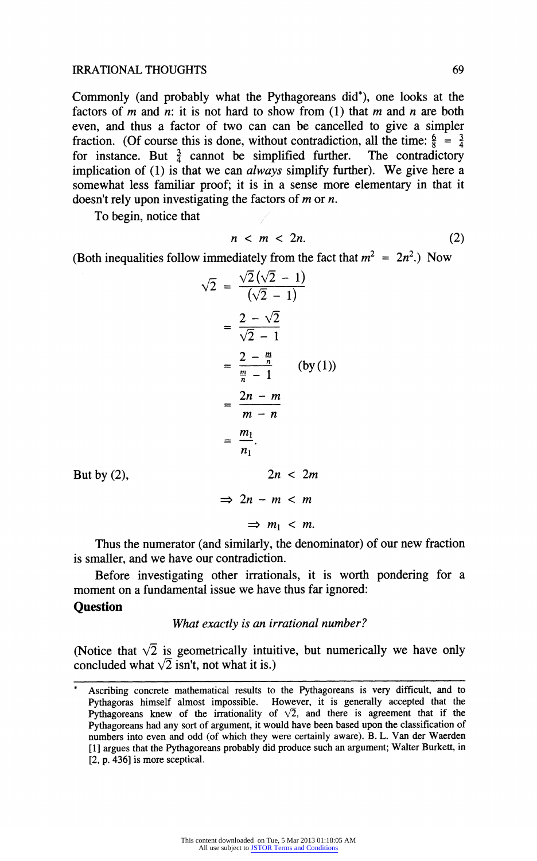#### **IRRATIONAL THOUGHTS**

**Commonly (and probably what the Pythagoreans did\*), one looks at the**  factors of  $m$  and  $n$ : it is not hard to show from (1) that  $m$  and  $n$  are both **even, and thus a factor of two can can be cancelled to give a simpler fraction.** (Of course this is done, without contradiction, all the time:  $\frac{6}{8} = \frac{3}{4}$  for instance. But  $\frac{3}{2}$  cannot be simplified further. The contradictory for instance. But  $\frac{3}{4}$  cannot be simplified further. **implication of (1) is that we can always simplify further). We give here a somewhat less familiar proof; it is in a sense more elementary in that it doesn't rely upon investigating the factors of m or n.** 

**To begin, notice that** 

$$
n < m < 2n. \tag{2}
$$

(Both inequalities follow immediately from the fact that  $m^2 = 2n^2$ .) Now

$$
\sqrt{2} = \frac{\sqrt{2}(\sqrt{2} - 1)}{(\sqrt{2} - 1)}
$$

$$
= \frac{2 - \sqrt{2}}{\sqrt{2} - 1}
$$

$$
= \frac{2 - \frac{m}{n}}{m - 1} \qquad (by (1))
$$

$$
= \frac{2n - m}{m - n}
$$

$$
= \frac{m_1}{n_1}.
$$

$$
2n < 2m
$$

$$
\Rightarrow 2n - m < m
$$

$$
\Rightarrow m_1 < m.
$$

**But by (2),** 

**Thus the numerator (and similarly, the denominator) of our new fraction is smaller, and we have our contradiction.** 

**Before investigating other irrationals, it is worth pondering for a moment on a fundamental issue we have thus far ignored:** 

# **Question**

#### **What exactly is an irrational number?**

**(Notice that**  $\sqrt{2}$  **is geometrically intuitive, but numerically we have only** concluded what  $\sqrt{2}$  isn't, not what it is.)

**<sup>\*</sup> Ascribing concrete mathematical results to the Pythagoreans is very difficult, and to Pythagoras himself almost impossible. However, it is generally accepted that the Pythagoreans knew of the irrationality of**  $\sqrt{2}$ **, and there is agreement that if the Pythagoreans had any sort of argument, it would have been based upon the classification of numbers into even and odd (of which they were certainly aware). B. L. Van der Waerden [1] argues that the Pythagoreans probably did produce such an argument; Walter Burkett, in [2, p. 436] is more sceptical.**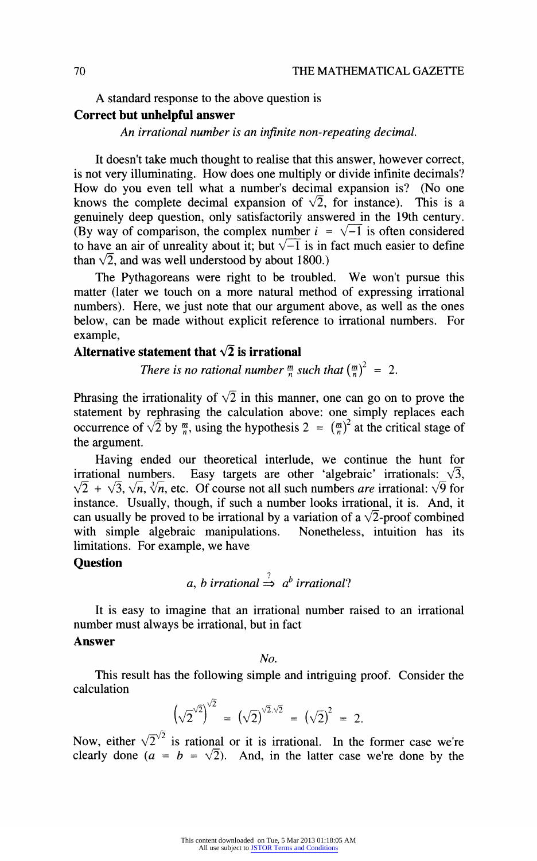**A standard response to the above question is** 

# **Correct but unhelpful answer**

**An irrational number is an infinite non-repeating decimal.** 

**It doesn't take much thought to realise that this answer, however correct, is not very illuminating. How does one multiply or divide infinite decimals? How do you even tell what a number's decimal expansion is? (No one**  knows the complete decimal expansion of  $\sqrt{2}$ , for instance). This is a **genuinely deep question, only satisfactorily answered in the 19th century.**  (By way of comparison, the complex number  $i = \sqrt{-1}$  is often considered to have an air of unreality about it; but  $\sqrt{-1}$  is in fact much easier to define than  $\sqrt{2}$ , and was well understood by about 1800.)

**The Pythagoreans were right to be troubled. We won't pursue this matter (later we touch on a more natural method of expressing irrational numbers). Here, we just note that our argument above, as well as the ones below, can be made without explicit reference to irrational numbers. For example,** 

# Alternative statement that  $\sqrt{2}$  is irrational

**There is no rational number**  $\frac{m}{n}$  **such that**  $\left(\frac{m}{n}\right)^2 = 2$ **.** 

Phrasing the irrationality of  $\sqrt{2}$  in this manner, one can go on to prove the **statement by rephrasing the calculation above: one simply replaces each occurrence of**  $\sqrt{2}$  **by**  $\frac{m}{n}$ **, using the hypothesis 2 =**  $(\frac{m}{n})^2$  **at the critical stage of the argument.** 

Having ended our theoretical interlude, we continue the hunt for irrational numbers. Easy targets are other 'algebraic' irrationals:  $\sqrt{3}$ , Easy targets are other 'algebraic' irrationals:  $\sqrt{3}$ ,  $\sqrt{2} + \sqrt{3}, \sqrt{n}, \sqrt[3]{n}$ , etc. Of course not all such numbers *are* irrational:  $\sqrt{9}$  for instance. Usually, though, if such a number looks irrational, it is. And, it can usually be proved to be irrational by a variation of a  $\sqrt{2}$ -proof combined **with simple algebraic manipulations. Nonetheless, intuition has its limitations. For example, we have** 

# **Question**

a, b irrational 
$$
\Rightarrow
$$
 a<sup>b</sup> irrational?

**It is easy to imagine that an irrational number raised to an irrational number must always be irrational, but in fact** 

# **Answer**

**No.** 

**This result has the following simple and intriguing proof. Consider the calculation** 

$$
\left(\sqrt{2}^{\sqrt{2}}\right)^{\sqrt{2}} = \left(\sqrt{2}\right)^{\sqrt{2}\cdot\sqrt{2}} = \left(\sqrt{2}\right)^2 = 2.
$$

Now, either  $\sqrt{2}^{\sqrt{2}}$  is rational or it is irrational. In the former case we're clearly done ( $a = b = \sqrt{2}$ ). And, in the latter case we're done by the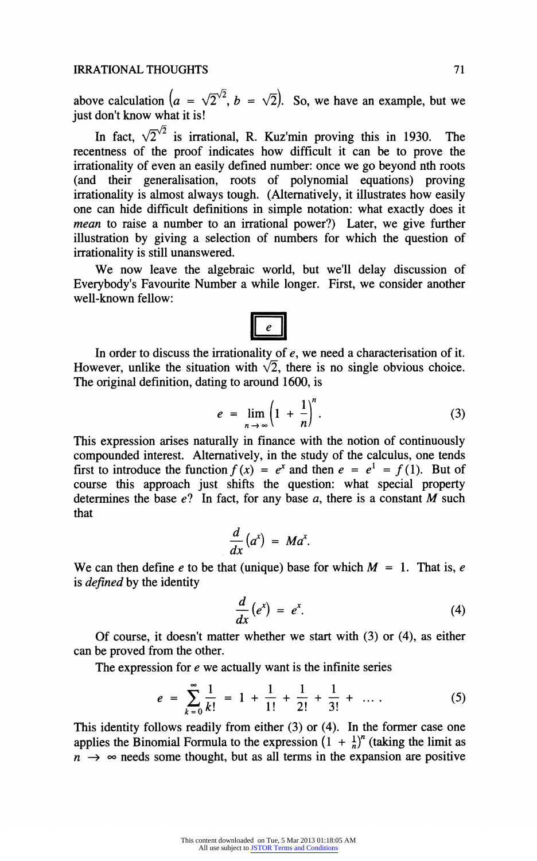above calculation  $(a = \sqrt{2}^{\sqrt{2}}, b = \sqrt{2})$ . So, we have an example, but we **just don't know what it is!** 

In fact,  $\sqrt{2}^{\sqrt{2}}$  is irrational, R. Kuz'min proving this in 1930. The **recentness of the proof indicates how difficult it can be to prove the irrationality of even an easily defined number: once we go beyond nth roots (and their generalisation, roots of polynomial equations) proving irrationality is almost always tough. (Alternatively, it illustrates how easily one can hide difficult definitions in simple notation: what exactly does it mean to raise a number to an irrational power?) Later, we give further illustration by giving a selection of numbers for which the question of irrationality is still unanswered.** 

**We now leave the algebraic world, but we'll delay discussion of Everybody's Favourite Number a while longer. First, we consider another well-known fellow:** 

**In order to discuss the irrationality of e, we need a characterisation of it.**  However, unlike the situation with  $\sqrt{2}$ , there is no single obvious choice. **The original definition, dating to around 1600, is** 

$$
e = \lim_{n \to \infty} \left(1 + \frac{1}{n}\right)^n. \tag{3}
$$

**This expression arises naturally in finance with the notion of continuously compounded interest. Alternatively, in the study of the calculus, one tends**  first to introduce the function  $f(x) = e^x$  and then  $e = e^1 = f(1)$ . But of **course this approach just shifts the question: what special property**  determines the base  $e$ ? In fact, for any base  $a$ , there is a constant  $M$  such **that** 

$$
\frac{d}{dx}(a^x) = Ma^x.
$$

We can then define  $e$  to be that (unique) base for which  $M = 1$ . That is,  $e$ **is defined by the identity** 

$$
\frac{d}{dx}\left(e^x\right) = e^x.\tag{4}
$$

**Of course, it doesn't matter whether we start with (3) or (4), as either can be proved from the other.** 

**The expression for e we actually want is the infinite series** 

$$
e = \sum_{k=0}^{\infty} \frac{1}{k!} = 1 + \frac{1}{1!} + \frac{1}{2!} + \frac{1}{3!} + \dots
$$
 (5)

**This identity follows readily from either (3) or (4). In the former case one**  applies the Binomial Formula to the expression  $(1 + \frac{1}{n})^n$  (taking the limit as  $n \rightarrow \infty$  needs some thought, but as all terms in the expansion are positive

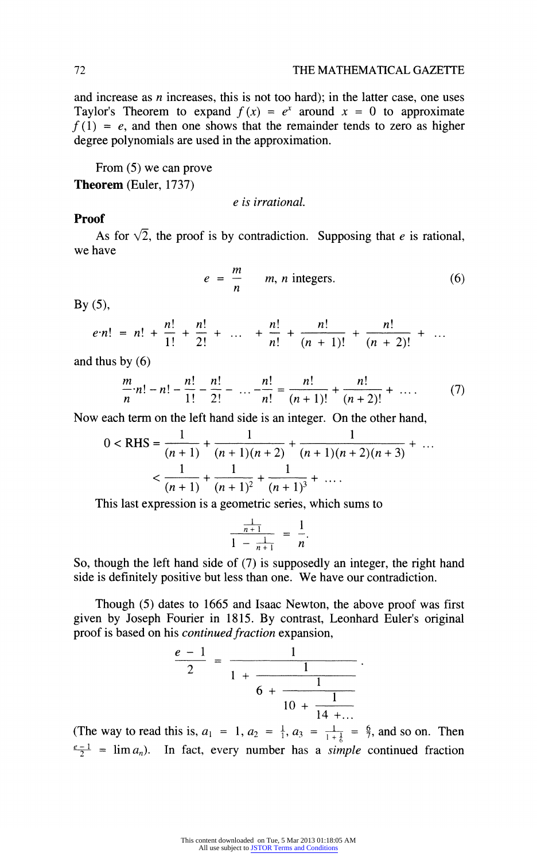**and increase as n increases, this is not too hard); in the latter case, one uses**  Taylor's Theorem to expand  $f(x) = e^x$  around  $x = 0$  to approximate  $f(1) = e$ , and then one shows that the remainder tends to zero as higher **degree polynomials are used in the approximation.** 

**From (5) we can prove** 

**Theorem (Euler, 1737)** 

**e is irrational.** 

# **Proof**

As for  $\sqrt{2}$ , the proof is by contradiction. Supposing that *e* is rational, **we have** 

$$
e = \frac{m}{n} \qquad m, n \text{ integers.} \tag{6}
$$

**By (5),** 

$$
e\cdot n! = n! + \frac{n!}{1!} + \frac{n!}{2!} + \ldots + \frac{n!}{n!} + \frac{n!}{(n+1)!} + \frac{n!}{(n+2)!} + \ldots
$$

**and thus by (6)** 

$$
\frac{m}{n} \cdot n! - n! - \frac{n!}{1!} - \frac{n!}{2!} - \dots - \frac{n!}{n!} = \frac{n!}{(n+1)!} + \frac{n!}{(n+2)!} + \dots \tag{7}
$$

**Now each term on the left hand side is an integer. On the other hand,** 

$$
0 < RHS = \frac{1}{(n+1)} + \frac{1}{(n+1)(n+2)} + \frac{1}{(n+1)(n+2)(n+3)} + \dots
$$
  

$$
< \frac{1}{(n+1)} + \frac{1}{(n+1)^2} + \frac{1}{(n+1)^3} + \dots
$$

**This last expression is a geometric series, which sums to** 

$$
\frac{\frac{1}{n+1}}{1-\frac{1}{n+1}} = \frac{1}{n}.
$$

**So, though the left hand side of (7) is supposedly an integer, the right hand side is definitely positive but less than one. We have our contradiction.** 

**Though (5) dates to 1665 and Isaac Newton, the above proof was first given by Joseph Fourier in 1815. By contrast, Leonhard Euler's original**  proof is based on his *continued fraction* expansion,

$$
\frac{e-1}{2} = \frac{1}{1 + \frac{1}{6 + \frac{1}{10 + \frac{1}{14 + \dots}}}}
$$

(The way to read this is,  $a_1 = 1$ ,  $a_2 = \frac{1}{1}$ ,  $a_3 = \frac{1}{1+\frac{1}{6}} = \frac{6}{7}$ , and so on. Then  $\frac{e-1}{2}$  =  $\lim a_n$ ). In fact, every number has a *simple* continued fraction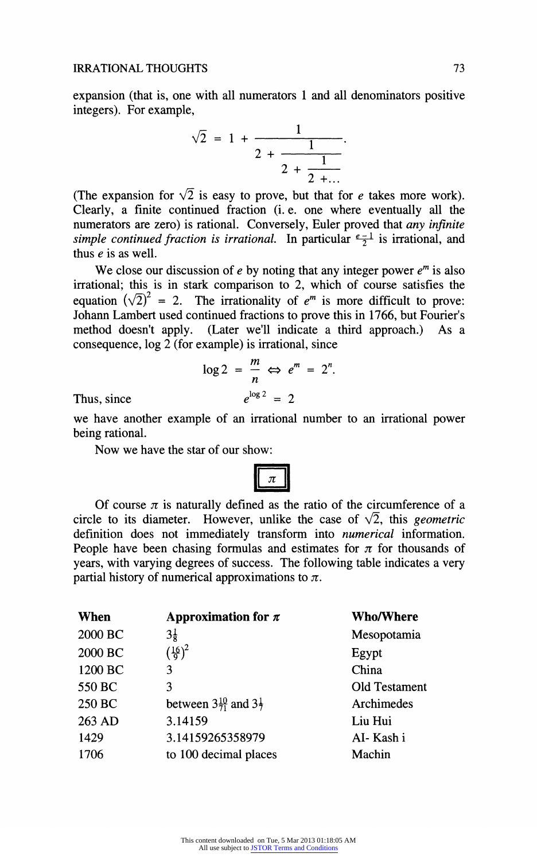**expansion (that is, one with all numerators 1 and all denominators positive integers). For example,** 

$$
\sqrt{2} = 1 + \frac{1}{2 + \frac{1}{2 + \frac{1}{2 + \dots}}}.
$$

(The expansion for  $\sqrt{2}$  is easy to prove, but that for *e* takes more work). **Clearly, a finite continued fraction (i. e. one where eventually all the numerators are zero) is rational. Conversely, Euler proved that any infinite**  simple continued fraction is irrational. In particular  $\frac{e-1}{2}$  is irrational, and thus  $e$  is as well.

We close our discussion of  $e$  by noting that any integer power  $e<sup>m</sup>$  is also **irrational; this is in stark comparison to 2, which of course satisfies the**  equation  $(\sqrt{2})^2$  = 2. The irrationality of  $e^m$  is more difficult to prove: **Johann Lambert used continued fractions to prove this in 1766, but Fourier's (Later we'll indicate a third approach.)** As a **consequence, log 2 (for example) is irrational, since** 

$$
\log 2 = \frac{m}{n} \Leftrightarrow e^m = 2^n.
$$

$$
e^{\log 2} = 2
$$

 $Thus, since$ 

**we have another example of an irrational number to an irrational power being rational.** 

**Now we have the star of our show:** 

Of course 
$$
\pi
$$
 is naturally defined as the ratio of the circumference of a circle to its diameter. However, unlike the case of  $\sqrt{2}$ , this *geometric* definition does not immediately transform into *numerical* information. People have been changing formulas and estimates for  $\pi$  for thousands of years, with varying degrees of success. The following table indicates a very partial history of numerical approximations to  $\pi$ .

| When    | Approximation for $\pi$                     | <b>Who/Where</b> |
|---------|---------------------------------------------|------------------|
| 2000 BC | $3\frac{1}{8}$                              | Mesopotamia      |
| 2000 BC | $(\frac{16}{9})^2$                          | Egypt            |
| 1200 BC | 3                                           | China            |
| 550 BC  | 3                                           | Old Testament    |
| 250 BC  | between $3\frac{10}{71}$ and $3\frac{1}{7}$ | Archimedes       |
| 263 AD  | 3.14159                                     | Liu Hui          |
| 1429    | 3.14159265358979                            | AI-Kashi         |
| 1706    | to 100 decimal places                       | Machin           |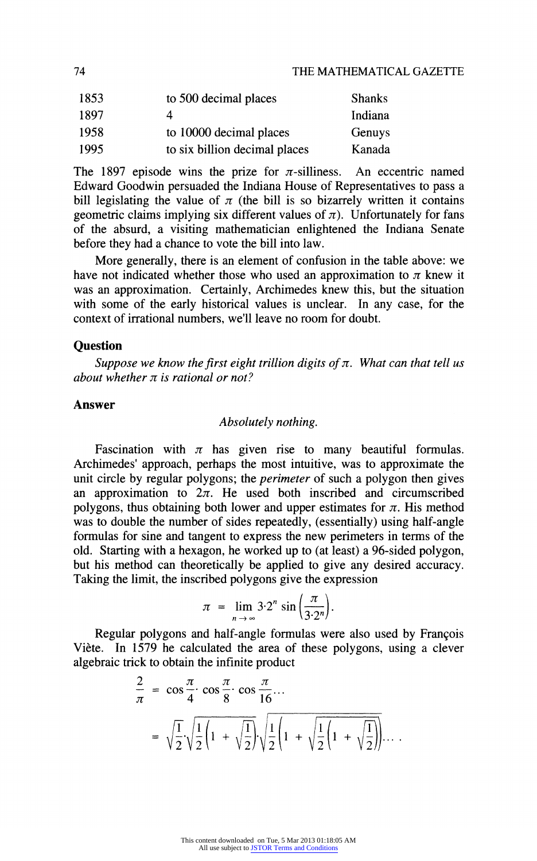| 1853 | to 500 decimal places         | <b>Shanks</b> |
|------|-------------------------------|---------------|
| 1897 |                               | Indiana       |
| 1958 | to 10000 decimal places       | Genuys        |
| 1995 | to six billion decimal places | Kanada        |

The 1897 episode wins the prize for  $\pi$ -silliness. An eccentric named **Edward Goodwin persuaded the Indiana House of Representatives to pass a**  bill legislating the value of  $\pi$  (the bill is so bizarrely written it contains **geometric claims implying six different values of**  $\pi$ **). Unfortunately for fans of the absurd, a visiting mathematician enlightened the Indiana Senate before they had a chance to vote the bill into law.** 

**More generally, there is an element of confusion in the table above: we**  have not indicated whether those who used an approximation to  $\pi$  knew it **was an approximation. Certainly, Archimedes knew this, but the situation**  with some of the early historical values is unclear. In any case, for the **context of irrational numbers, we'll leave no room for doubt.** 

#### **Question**

Suppose we know the first eight trillion digits of  $\pi$ . What can that tell us about whether  $\pi$  is rational or not?

#### **Answer**

#### **Absolutely nothing.**

Fascination with  $\pi$  has given rise to many beautiful formulas. **Archimedes' approach, perhaps the most intuitive, was to approximate the unit circle by regular polygons; the perimeter of such a polygon then gives**  an approximation to  $2\pi$ . He used both inscribed and circumscribed polygons, thus obtaining both lower and upper estimates for  $\pi$ . His method **was to double the number of sides repeatedly, (essentially) using half-angle formulas for sine and tangent to express the new perimeters in terms of the old. Starting with a hexagon, he worked up to (at least) a 96-sided polygon, but his method can theoretically be applied to give any desired accuracy. Taking the limit, the inscribed polygons give the expression** 

$$
\pi = \lim_{n \to \infty} 3 \cdot 2^n \sin \left( \frac{\pi}{3 \cdot 2^n} \right).
$$

**Regular polygons and half-angle formulas were also used by Francois Viete. In 1579 he calculated the area of these polygons, using a clever algebraic trick to obtain the infinite product** 

$$
\frac{2}{\pi} = \cos\frac{\pi}{4} \cdot \cos\frac{\pi}{8} \cdot \cos\frac{\pi}{16} \cdots
$$

$$
= \sqrt{\frac{1}{2}} \sqrt{\frac{1}{2} \left( 1 + \sqrt{\frac{1}{2}} \right)} \sqrt{\frac{1}{2} \left( 1 + \sqrt{\frac{1}{2} \left( 1 + \sqrt{\frac{1}{2}} \right)} \right) \cdots}
$$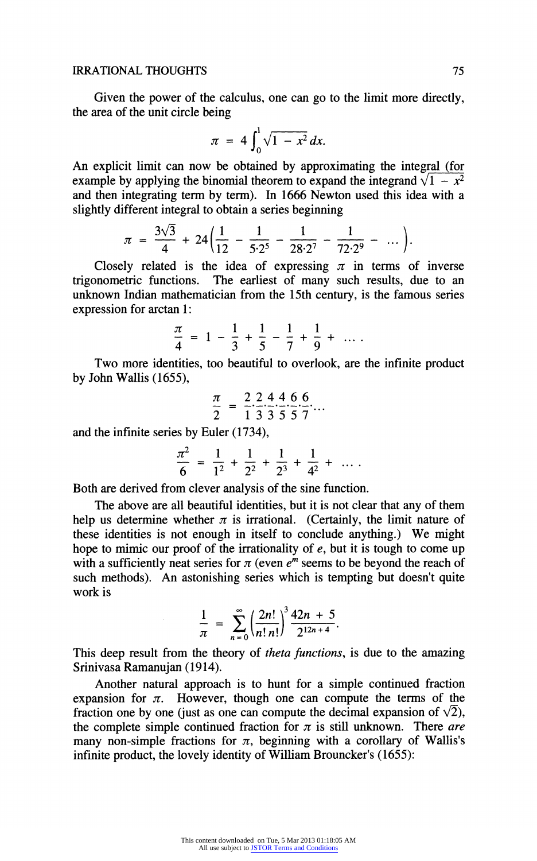#### **IRRATIONAL THOUGHTS**

**Given the power of the calculus, one can go to the limit more directly, the area of the unit circle being** 

$$
\pi = 4 \int_0^1 \sqrt{1 - x^2} \, dx.
$$

**An explicit limit can now be obtained by approximating the integral (for**  example by applying the binomial theorem to expand the integrand  $\sqrt{1 - x^2}$ **and then integrating term by term). In 1666 Newton used this idea with a slightly different integral to obtain a series beginning** 

$$
\pi = \frac{3\sqrt{3}}{4} + 24\left(\frac{1}{12} - \frac{1}{5 \cdot 2^5} - \frac{1}{28 \cdot 2^7} - \frac{1}{72 \cdot 2^9} - \dots\right).
$$

Closely related is the idea of expressing  $\pi$  in terms of inverse **trigonometric functions. The earliest of many such results, due to an unknown Indian mathematician from the 15th century, is the famous series expression for arctan 1:** 

$$
\frac{\pi}{4} = 1 - \frac{1}{3} + \frac{1}{5} - \frac{1}{7} + \frac{1}{9} + \ldots
$$

**Two more identities, too beautiful to overlook, are the infinite product by John Wallis (1655),** 

$$
\frac{\pi}{2} = \frac{2}{1} \frac{2}{3} \frac{4}{3} \frac{4}{5} \frac{6}{5} \frac{6}{7} \dots
$$

**and the infinite series by Euler (1734),** 

$$
\frac{\pi^2}{6} = \frac{1}{1^2} + \frac{1}{2^2} + \frac{1}{2^3} + \frac{1}{4^2} + \cdots
$$

**Both are derived from clever analysis of the sine function.** 

**The above are all beautiful identities, but it is not clear that any of them**  help us determine whether  $\pi$  is irrational. (Certainly, the limit nature of **these identities is not enough in itself to conclude anything.) We might hope to mimic our proof of the irrationality of e, but it is tough to come up**  with a sufficiently neat series for  $\pi$  (even  $e^m$  seems to be beyond the reach of **such methods). An astonishing series which is tempting but doesn't quite work is** 

$$
\frac{1}{\pi} = \sum_{n=0}^{\infty} \left( \frac{2n!}{n! \, n!} \right)^3 \frac{42n+5}{2^{12n+4}}.
$$

**This deep result from the theory of theta functions, is due to the amazing Srinivasa Ramanujan (1914).** 

**Another natural approach is to hunt for a simple continued fraction**  expansion for  $\pi$ . However, though one can compute the terms of the fraction one by one (just as one can compute the decimal expansion of  $\sqrt{2}$ ), the complete simple continued fraction for  $\pi$  is still unknown. There are many non-simple fractions for  $\pi$ , beginning with a corollary of Wallis's **infinite product, the lovely identity of William Brouncker's (1655):**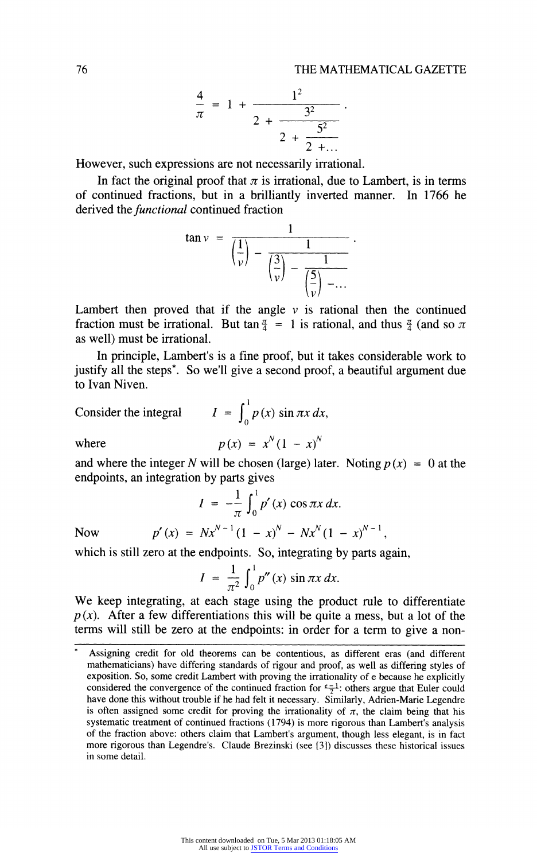$$
\frac{4}{\pi} = 1 + \frac{1^2}{2 + \frac{3^2}{2 + \frac{5^2}{2 + \dots}}}
$$

**However, such expressions are not necessarily irrational.** 

In fact the original proof that  $\pi$  is irrational, due to Lambert, is in terms **of continued fractions, but in a brilliantly inverted manner. In 1766 he derived the functional continued fraction** 

$$
\tan v = \frac{1}{\left(\frac{1}{v}\right) - \frac{1}{\left(\frac{3}{v}\right) - \frac{1}{\left(\frac{5}{v}\right) - \dots}}}.
$$

Lambert then proved that if the angle  $\nu$  is rational then the continued fraction must be irrational. But tan  $\frac{\pi}{4} = 1$  is rational, and thus  $\frac{\pi}{4}$  (and so  $\pi$ **as well) must be irrational.** 

**In principle, Lambert's is a fine proof, but it takes considerable work to justify all the steps\*. So we'll give a second proof, a beautiful argument due to Ivan Niven.** 

Consider the integral 
$$
I = \int_0^1 p(x) \sin \pi x \, dx,
$$
  
where 
$$
p(x) = x^N (1 - x)^N
$$

and where the integer N will be chosen (large) later. Noting  $p(x) = 0$  at the **endpoints, an integration by parts gives** 

$$
I = -\frac{1}{\pi} \int_0^1 p'(x) \cos \pi x \, dx.
$$
  
Now 
$$
p'(x) = Nx^{N-1} (1 - x)^N - Nx^N (1 - x)^{N-1}
$$

**which is still zero at the endpoints. So, integrating by parts again,** 

$$
I = \frac{1}{\pi^2} \int_0^1 p''(x) \sin \pi x \, dx.
$$

**We keep integrating, at each stage using the product rule to differentiate**   $p(x)$ . After a few differentiations this will be quite a mess, but a lot of the **terms will still be zero at the endpoints: in order for a term to give a non-** 

**76** 

Assigning credit for old theorems can be contentious, as different eras (and different **mathematicians) have differing standards of rigour and proof, as well as differing styles of exposition. So, some credit Lambert with proving the irrationality of e because he explicitly**  considered the convergence of the continued fraction for  $\frac{e-1}{2}$ : others argue that Euler could **have done this without trouble if he had felt it necessary. Similarly, Adrien-Marie Legendre**  is often assigned some credit for proving the irrationality of  $\pi$ , the claim being that his **systematic treatment of continued fractions (1794) is more rigorous than Lambert's analysis of the fraction above: others claim that Lambert's argument, though less elegant, is in fact more rigorous than Legendre's. Claude Brezinski (see [3]) discusses these historical issues in some detail.**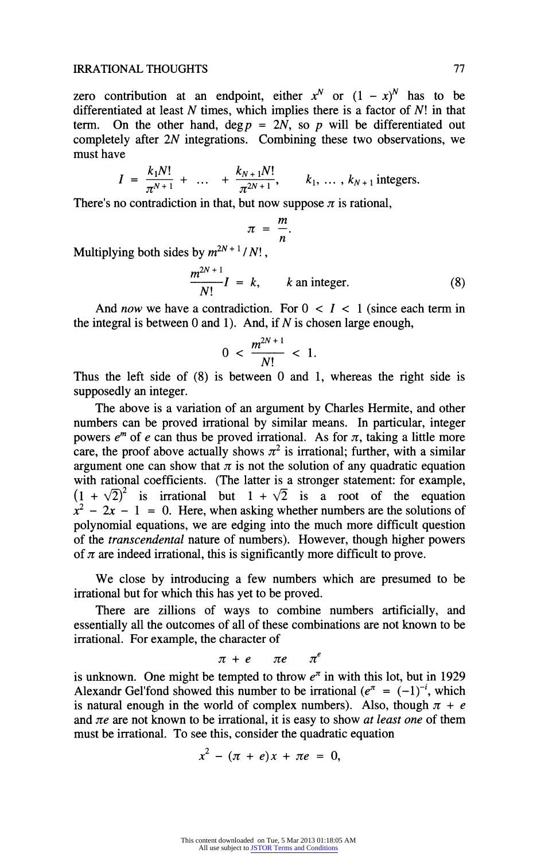zero contribution at an endpoint, either  $x^N$  or  $(1 - x)^N$  has to be **differentiated at least N times, which implies there is a factor of N! in that**  term. On the other hand,  $\deg p = 2N$ , so p will be differentiated out **completely after 2N integrations. Combining these two observations, we must have** 

$$
I = \frac{k_1 N!}{\pi^{N+1}} + \dots + \frac{k_{N+1} N!}{\pi^{2N+1}}, \qquad k_1, \dots, k_{N+1} \text{ integers.}
$$

There's no contradiction in that, but now suppose  $\pi$  is rational,

$$
\pi = \frac{m}{n}.
$$

**Multiplying both sides by**  $m^{2N+1}/N!$ **,** 

$$
\frac{m^{2N+1}}{N!}I = k, \qquad k \text{ an integer.} \tag{8}
$$

And *now* we have a contradiction. For  $0 < I < 1$  (since each term in the integral is between  $0$  and  $1$ ). And, if  $N$  is chosen large enough,

$$
0 < \frac{m^{2N+1}}{N!} < 1.
$$

**Thus the left side of (8) is between 0 and 1, whereas the right side is supposedly an integer.** 

**The above is a variation of an argument by Charles Hermite, and other numbers can be proved irrational by similar means. In particular, integer**  powers  $e^m$  of e can thus be proved irrational. As for  $\pi$ , taking a little more care, the proof above actually shows  $\pi^2$  is irrational; further, with a similar argument one can show that  $\pi$  is not the solution of any quadratic equation **with rational coefficients. (The latter is a stronger statement: for example,**   $(1 + \sqrt{2})^2$  is irrational but  $1 + \sqrt{2}$  is a root of the equation  $x^2 - 2x - 1 = 0$ . Here, when asking whether numbers are the solutions of **polynomial equations, we are edging into the much more difficult question of the transcendental nature of numbers). However, though higher powers**  of  $\pi$  are indeed irrational, this is significantly more difficult to prove.

**We close by introducing a few numbers which are presumed to be irrational but for which this has yet to be proved.** 

**There are zillions of ways to combine numbers artificially, and essentially all the outcomes of all of these combinations are not known to be irrational. For example, the character of** 

$$
\pi + e \quad \pi e \quad \pi^e
$$

is unknown. One might be tempted to throw  $e^{\pi}$  in with this lot, but in 1929 Alexandr Gel'fond showed this number to be irrational  $(e^{\pi} = (-1)^{-i}$ , which is natural enough in the world of complex numbers). Also, though  $\pi + e$ and  $\pi e$  are not known to be irrational, it is easy to show *at least one* of them **must be irrational. To see this, consider the quadratic equation** 

$$
x^2 - (\pi + e)x + \pi e = 0,
$$